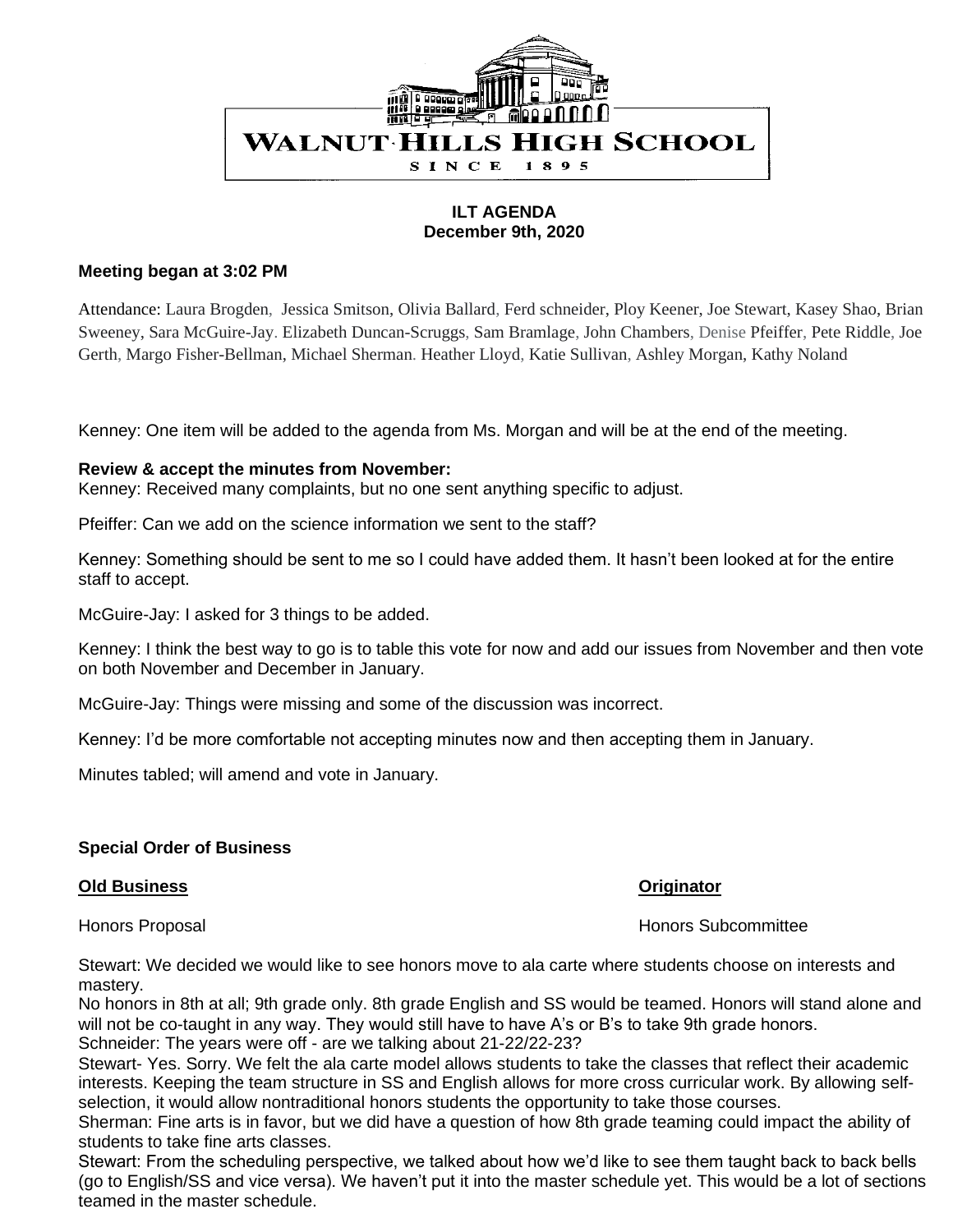

# **ILT AGENDA December 9th, 2020**

## **Meeting began at 3:02 PM**

Attendance: Laura Brogden, Jessica Smitson, Olivia Ballard, Ferd schneider, Ploy Keener, Joe Stewart, Kasey Shao, Brian Sweeney, Sara McGuire-Jay. Elizabeth Duncan-Scruggs, Sam Bramlage, John Chambers, Denise Pfeiffer, Pete Riddle, Joe Gerth, Margo Fisher-Bellman, Michael Sherman. Heather Lloyd, Katie Sullivan, Ashley Morgan, Kathy Noland

Kenney: One item will be added to the agenda from Ms. Morgan and will be at the end of the meeting.

## **Review & accept the minutes from November:**

Kenney: Received many complaints, but no one sent anything specific to adjust.

Pfeiffer: Can we add on the science information we sent to the staff?

Kenney: Something should be sent to me so I could have added them. It hasn't been looked at for the entire staff to accept.

McGuire-Jay: I asked for 3 things to be added.

Kenney: I think the best way to go is to table this vote for now and add our issues from November and then vote on both November and December in January.

McGuire-Jay: Things were missing and some of the discussion was incorrect.

Kenney: I'd be more comfortable not accepting minutes now and then accepting them in January.

Minutes tabled; will amend and vote in January.

# **Special Order of Business**

### **Old Business Originator**

Honors Proposal Honors Subcommittee

Stewart: We decided we would like to see honors move to ala carte where students choose on interests and mastery.

No honors in 8th at all; 9th grade only. 8th grade English and SS would be teamed. Honors will stand alone and will not be co-taught in any way. They would still have to have A's or B's to take 9th grade honors. Schneider: The years were off - are we talking about 21-22/22-23?

Stewart- Yes. Sorry. We felt the ala carte model allows students to take the classes that reflect their academic interests. Keeping the team structure in SS and English allows for more cross curricular work. By allowing selfselection, it would allow nontraditional honors students the opportunity to take those courses.

Sherman: Fine arts is in favor, but we did have a question of how 8th grade teaming could impact the ability of students to take fine arts classes.

Stewart: From the scheduling perspective, we talked about how we'd like to see them taught back to back bells (go to English/SS and vice versa). We haven't put it into the master schedule yet. This would be a lot of sections teamed in the master schedule.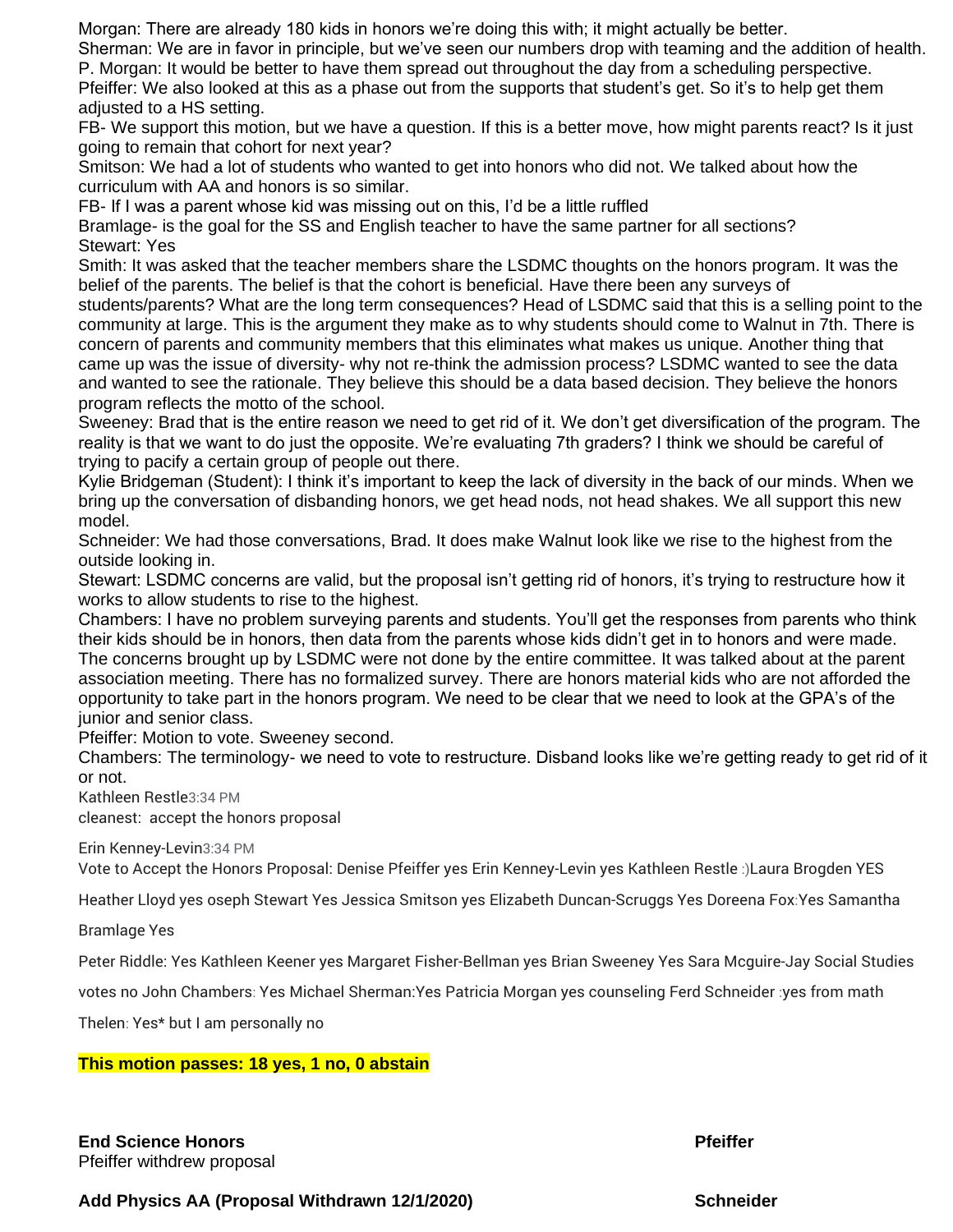Morgan: There are already 180 kids in honors we're doing this with; it might actually be better.

Sherman: We are in favor in principle, but we've seen our numbers drop with teaming and the addition of health. P. Morgan: It would be better to have them spread out throughout the day from a scheduling perspective.

Pfeiffer: We also looked at this as a phase out from the supports that student's get. So it's to help get them adjusted to a HS setting.

FB- We support this motion, but we have a question. If this is a better move, how might parents react? Is it just going to remain that cohort for next year?

Smitson: We had a lot of students who wanted to get into honors who did not. We talked about how the curriculum with AA and honors is so similar.

FB- If I was a parent whose kid was missing out on this, I'd be a little ruffled

Bramlage- is the goal for the SS and English teacher to have the same partner for all sections? Stewart: Yes

Smith: It was asked that the teacher members share the LSDMC thoughts on the honors program. It was the belief of the parents. The belief is that the cohort is beneficial. Have there been any surveys of

students/parents? What are the long term consequences? Head of LSDMC said that this is a selling point to the community at large. This is the argument they make as to why students should come to Walnut in 7th. There is concern of parents and community members that this eliminates what makes us unique. Another thing that came up was the issue of diversity- why not re-think the admission process? LSDMC wanted to see the data and wanted to see the rationale. They believe this should be a data based decision. They believe the honors program reflects the motto of the school.

Sweeney: Brad that is the entire reason we need to get rid of it. We don't get diversification of the program. The reality is that we want to do just the opposite. We're evaluating 7th graders? I think we should be careful of trying to pacify a certain group of people out there.

Kylie Bridgeman (Student): I think it's important to keep the lack of diversity in the back of our minds. When we bring up the conversation of disbanding honors, we get head nods, not head shakes. We all support this new model.

Schneider: We had those conversations, Brad. It does make Walnut look like we rise to the highest from the outside looking in.

Stewart: LSDMC concerns are valid, but the proposal isn't getting rid of honors, it's trying to restructure how it works to allow students to rise to the highest.

Chambers: I have no problem surveying parents and students. You'll get the responses from parents who think their kids should be in honors, then data from the parents whose kids didn't get in to honors and were made. The concerns brought up by LSDMC were not done by the entire committee. It was talked about at the parent association meeting. There has no formalized survey. There are honors material kids who are not afforded the opportunity to take part in the honors program. We need to be clear that we need to look at the GPA's of the junior and senior class.

Pfeiffer: Motion to vote. Sweeney second.

Chambers: The terminology- we need to vote to restructure. Disband looks like we're getting ready to get rid of it or not.

Kathleen Restle3:34 PM

cleanest: accept the honors proposal

Erin Kenney-Levin3:34 PM

Vote to Accept the Honors Proposal: Denise Pfeiffer yes Erin Kenney-Levin yes Kathleen Restle :)Laura Brogden YES

Heather Lloyd yes oseph Stewart Yes Jessica Smitson yes Elizabeth Duncan-Scruggs Yes Doreena Fox:Yes Samantha

Bramlage Yes

Peter Riddle: Yes Kathleen Keener yes Margaret Fisher-Bellman yes Brian Sweeney Yes Sara Mcguire-Jay Social Studies

votes no John Chambers: Yes Michael Sherman:Yes Patricia Morgan yes counseling Ferd Schneider :yes from math

Thelen: Yes\* but I am personally no

### **This motion passes: 18 yes, 1 no, 0 abstain**

**End Science Honors Pfeiffer** Pfeiffer withdrew proposal

Add Physics AA (Proposal Withdrawn 12/1/2020) **Schneider** Schneider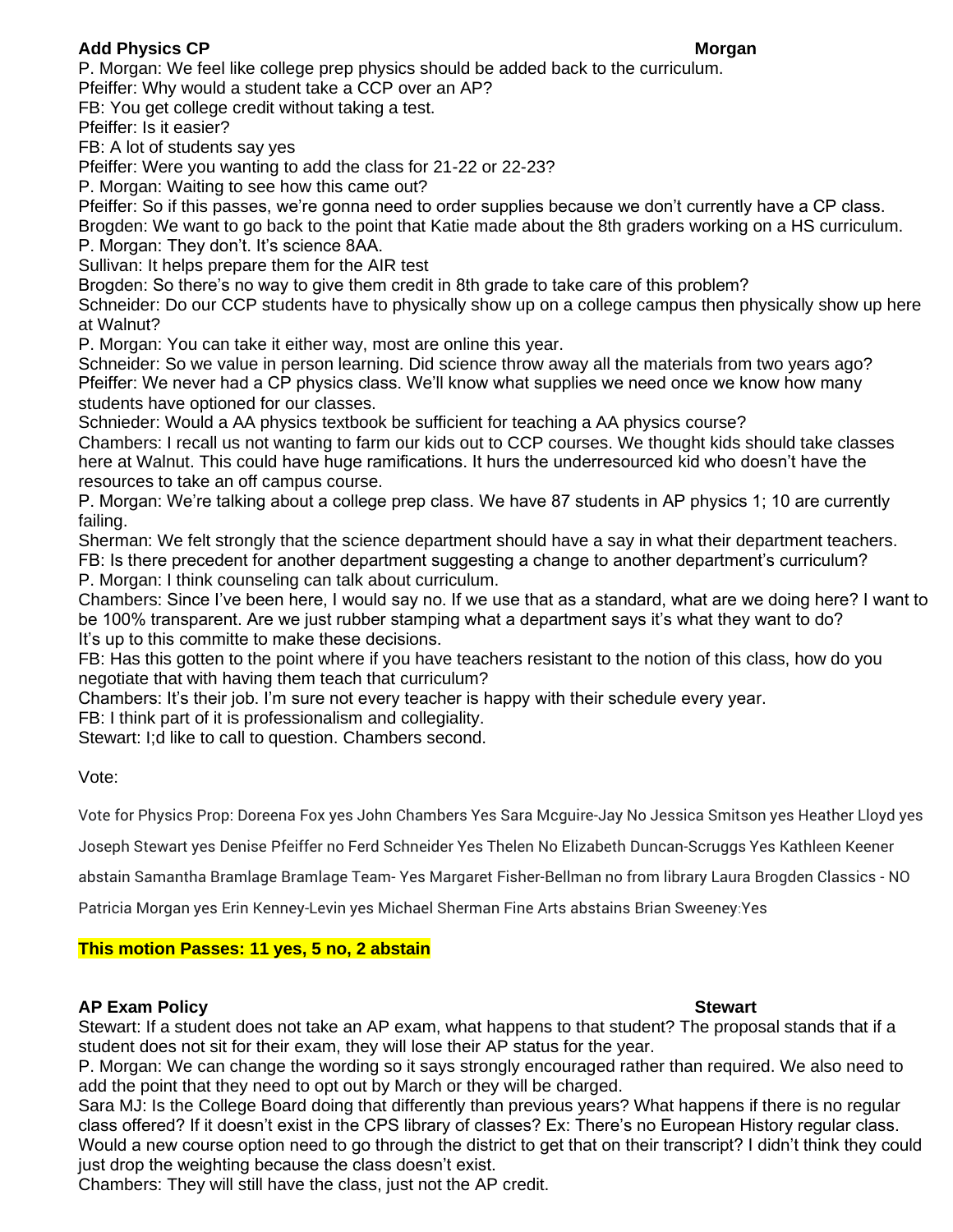# Add Physics CP Morgan **Morgan** Morgan **Morgan**

P. Morgan: We feel like college prep physics should be added back to the curriculum. Pfeiffer: Why would a student take a CCP over an AP?

FB: You get college credit without taking a test.

Pfeiffer: Is it easier?

FB: A lot of students say yes

Pfeiffer: Were you wanting to add the class for 21-22 or 22-23?

P. Morgan: Waiting to see how this came out?

Pfeiffer: So if this passes, we're gonna need to order supplies because we don't currently have a CP class.

Brogden: We want to go back to the point that Katie made about the 8th graders working on a HS curriculum.

P. Morgan: They don't. It's science 8AA.

Sullivan: It helps prepare them for the AIR test

Brogden: So there's no way to give them credit in 8th grade to take care of this problem?

Schneider: Do our CCP students have to physically show up on a college campus then physically show up here at Walnut?

P. Morgan: You can take it either way, most are online this year.

Schneider: So we value in person learning. Did science throw away all the materials from two years ago? Pfeiffer: We never had a CP physics class. We'll know what supplies we need once we know how many students have optioned for our classes.

Schnieder: Would a AA physics textbook be sufficient for teaching a AA physics course?

Chambers: I recall us not wanting to farm our kids out to CCP courses. We thought kids should take classes here at Walnut. This could have huge ramifications. It hurs the underresourced kid who doesn't have the resources to take an off campus course.

P. Morgan: We're talking about a college prep class. We have 87 students in AP physics 1; 10 are currently failing.

Sherman: We felt strongly that the science department should have a say in what their department teachers. FB: Is there precedent for another department suggesting a change to another department's curriculum? P. Morgan: I think counseling can talk about curriculum.

Chambers: Since I've been here, I would say no. If we use that as a standard, what are we doing here? I want to be 100% transparent. Are we just rubber stamping what a department says it's what they want to do? It's up to this committe to make these decisions.

FB: Has this gotten to the point where if you have teachers resistant to the notion of this class, how do you negotiate that with having them teach that curriculum?

Chambers: It's their job. I'm sure not every teacher is happy with their schedule every year.

FB: I think part of it is professionalism and collegiality.

Stewart: I;d like to call to question. Chambers second.

Vote:

Vote for Physics Prop: Doreena Fox yes John Chambers Yes Sara Mcguire-Jay No Jessica Smitson yes Heather Lloyd yes

Joseph Stewart yes Denise Pfeiffer no Ferd Schneider Yes Thelen No Elizabeth Duncan-Scruggs Yes Kathleen Keener

abstain Samantha Bramlage Bramlage Team- Yes Margaret Fisher-Bellman no from library Laura Brogden Classics - NO

Patricia Morgan yes Erin Kenney-Levin yes Michael Sherman Fine Arts abstains Brian Sweeney:Yes

# **This motion Passes: 11 yes, 5 no, 2 abstain**

# AP Exam Policy **Stewart** Stewart Stewart Stewart Stewart Stewart Stewart Stewart

Stewart: If a student does not take an AP exam, what happens to that student? The proposal stands that if a student does not sit for their exam, they will lose their AP status for the year.

P. Morgan: We can change the wording so it says strongly encouraged rather than required. We also need to add the point that they need to opt out by March or they will be charged.

Sara MJ: Is the College Board doing that differently than previous years? What happens if there is no regular class offered? If it doesn't exist in the CPS library of classes? Ex: There's no European History regular class. Would a new course option need to go through the district to get that on their transcript? I didn't think they could just drop the weighting because the class doesn't exist.

Chambers: They will still have the class, just not the AP credit.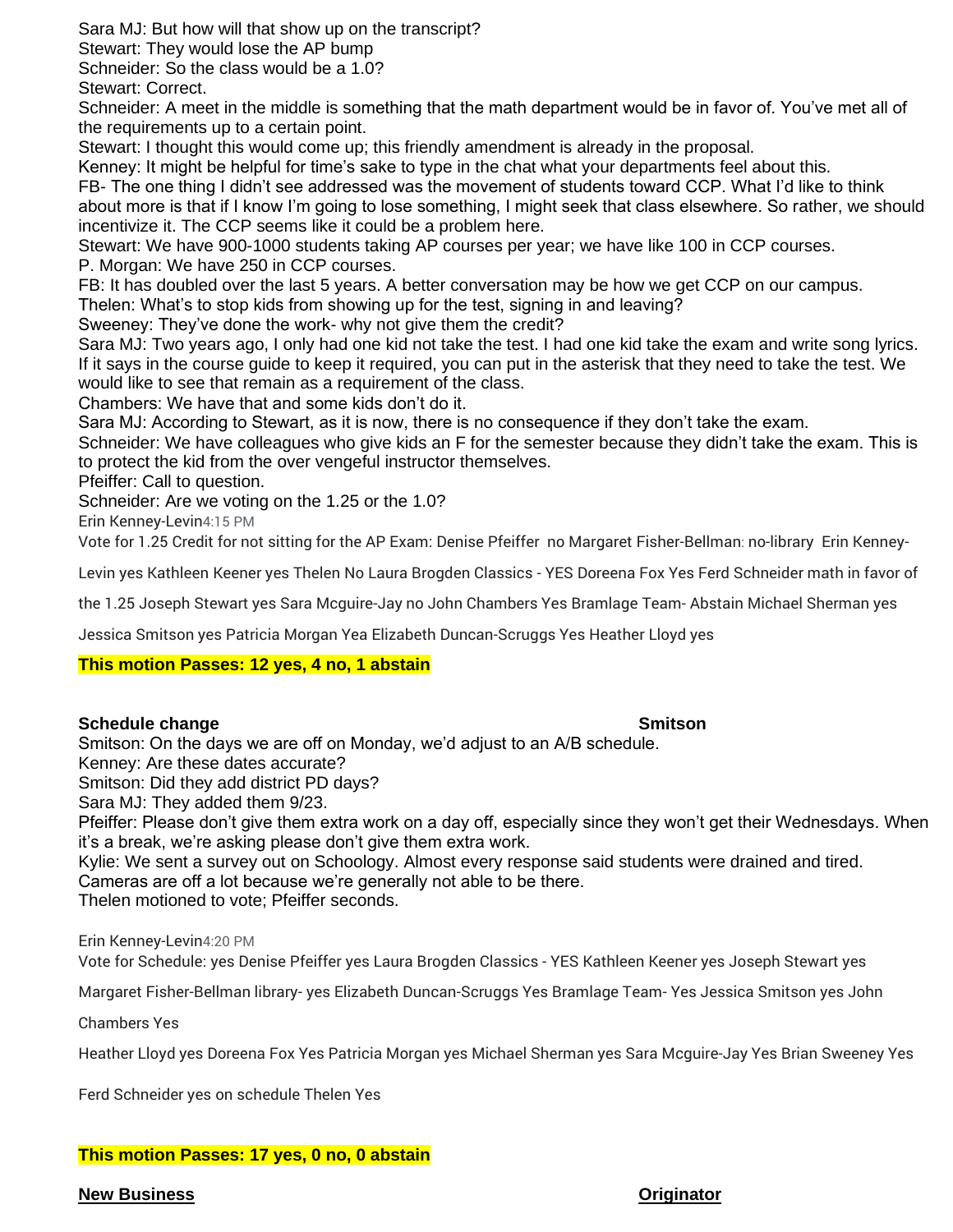Sara MJ: But how will that show up on the transcript?

Stewart: They would lose the AP bump

Schneider: So the class would be a 1.0?

Stewart: Correct.

Schneider: A meet in the middle is something that the math department would be in favor of. You've met all of the requirements up to a certain point.

Stewart: I thought this would come up; this friendly amendment is already in the proposal.

Kenney: It might be helpful for time's sake to type in the chat what your departments feel about this.

FB- The one thing I didn't see addressed was the movement of students toward CCP. What I'd like to think about more is that if I know I'm going to lose something, I might seek that class elsewhere. So rather, we should incentivize it. The CCP seems like it could be a problem here.

Stewart: We have 900-1000 students taking AP courses per year; we have like 100 in CCP courses. P. Morgan: We have 250 in CCP courses.

FB: It has doubled over the last 5 years. A better conversation may be how we get CCP on our campus.

Thelen: What's to stop kids from showing up for the test, signing in and leaving?

Sweeney: They've done the work- why not give them the credit?

Sara MJ: Two years ago, I only had one kid not take the test. I had one kid take the exam and write song lyrics. If it says in the course guide to keep it required, you can put in the asterisk that they need to take the test. We would like to see that remain as a requirement of the class.

Chambers: We have that and some kids don't do it.

Sara MJ: According to Stewart, as it is now, there is no consequence if they don't take the exam.

Schneider: We have colleagues who give kids an F for the semester because they didn't take the exam. This is to protect the kid from the over vengeful instructor themselves.

Pfeiffer: Call to question.

Schneider: Are we voting on the 1.25 or the 1.0?

Erin Kenney-Levin4:15 PM

Vote for 1.25 Credit for not sitting for the AP Exam: Denise Pfeiffer no Margaret Fisher-Bellman: no-library Erin Kenney-

Levin yes Kathleen Keener yes Thelen No Laura Brogden Classics - YES Doreena Fox Yes Ferd Schneider math in favor of

the 1.25 Joseph Stewart yes Sara Mcguire-Jay no John Chambers Yes Bramlage Team- Abstain Michael Sherman yes

Jessica Smitson yes Patricia Morgan Yea Elizabeth Duncan-Scruggs Yes Heather Lloyd yes

# **This motion Passes: 12 yes, 4 no, 1 abstain**

# **Schedule change Smitson**

Smitson: On the days we are off on Monday, we'd adjust to an A/B schedule.

Kenney: Are these dates accurate?

Smitson: Did they add district PD days?

Sara MJ: They added them 9/23.

Pfeiffer: Please don't give them extra work on a day off, especially since they won't get their Wednesdays. When it's a break, we're asking please don't give them extra work.

Kylie: We sent a survey out on Schoology. Almost every response said students were drained and tired. Cameras are off a lot because we're generally not able to be there.

Thelen motioned to vote; Pfeiffer seconds.

Erin Kenney-Levin4:20 PM

Vote for Schedule: yes Denise Pfeiffer yes Laura Brogden Classics - YES Kathleen Keener yes Joseph Stewart yes

Margaret Fisher-Bellman library- yes Elizabeth Duncan-Scruggs Yes Bramlage Team- Yes Jessica Smitson yes John

Chambers Yes

Heather Lloyd yes Doreena Fox Yes Patricia Morgan yes Michael Sherman yes Sara Mcguire-Jay Yes Brian Sweeney Yes

Ferd Schneider yes on schedule Thelen Yes

# **This motion Passes: 17 yes, 0 no, 0 abstain**

### **New Business Originator**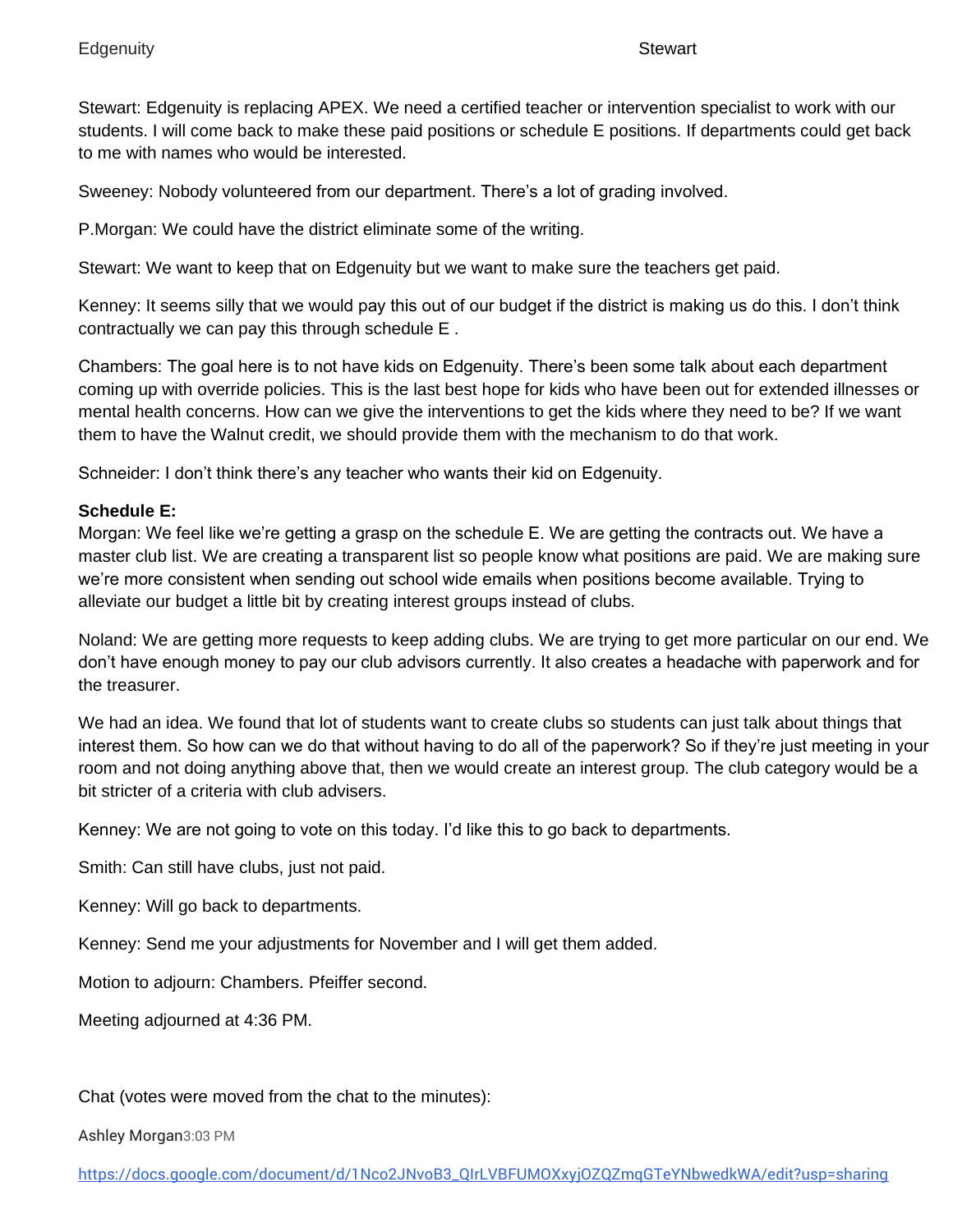Stewart: Edgenuity is replacing APEX. We need a certified teacher or intervention specialist to work with our students. I will come back to make these paid positions or schedule E positions. If departments could get back to me with names who would be interested.

Sweeney: Nobody volunteered from our department. There's a lot of grading involved.

P.Morgan: We could have the district eliminate some of the writing.

Stewart: We want to keep that on Edgenuity but we want to make sure the teachers get paid.

Kenney: It seems silly that we would pay this out of our budget if the district is making us do this. I don't think contractually we can pay this through schedule E .

Chambers: The goal here is to not have kids on Edgenuity. There's been some talk about each department coming up with override policies. This is the last best hope for kids who have been out for extended illnesses or mental health concerns. How can we give the interventions to get the kids where they need to be? If we want them to have the Walnut credit, we should provide them with the mechanism to do that work.

Schneider: I don't think there's any teacher who wants their kid on Edgenuity.

# **Schedule E:**

Morgan: We feel like we're getting a grasp on the schedule E. We are getting the contracts out. We have a master club list. We are creating a transparent list so people know what positions are paid. We are making sure we're more consistent when sending out school wide emails when positions become available. Trying to alleviate our budget a little bit by creating interest groups instead of clubs.

Noland: We are getting more requests to keep adding clubs. We are trying to get more particular on our end. We don't have enough money to pay our club advisors currently. It also creates a headache with paperwork and for the treasurer.

We had an idea. We found that lot of students want to create clubs so students can just talk about things that interest them. So how can we do that without having to do all of the paperwork? So if they're just meeting in your room and not doing anything above that, then we would create an interest group. The club category would be a bit stricter of a criteria with club advisers.

Kenney: We are not going to vote on this today. I'd like this to go back to departments.

Smith: Can still have clubs, just not paid.

Kenney: Will go back to departments.

Kenney: Send me your adjustments for November and I will get them added.

Motion to adjourn: Chambers. Pfeiffer second.

Meeting adjourned at 4:36 PM.

Chat (votes were moved from the chat to the minutes):

Ashley Morgan3:03 PM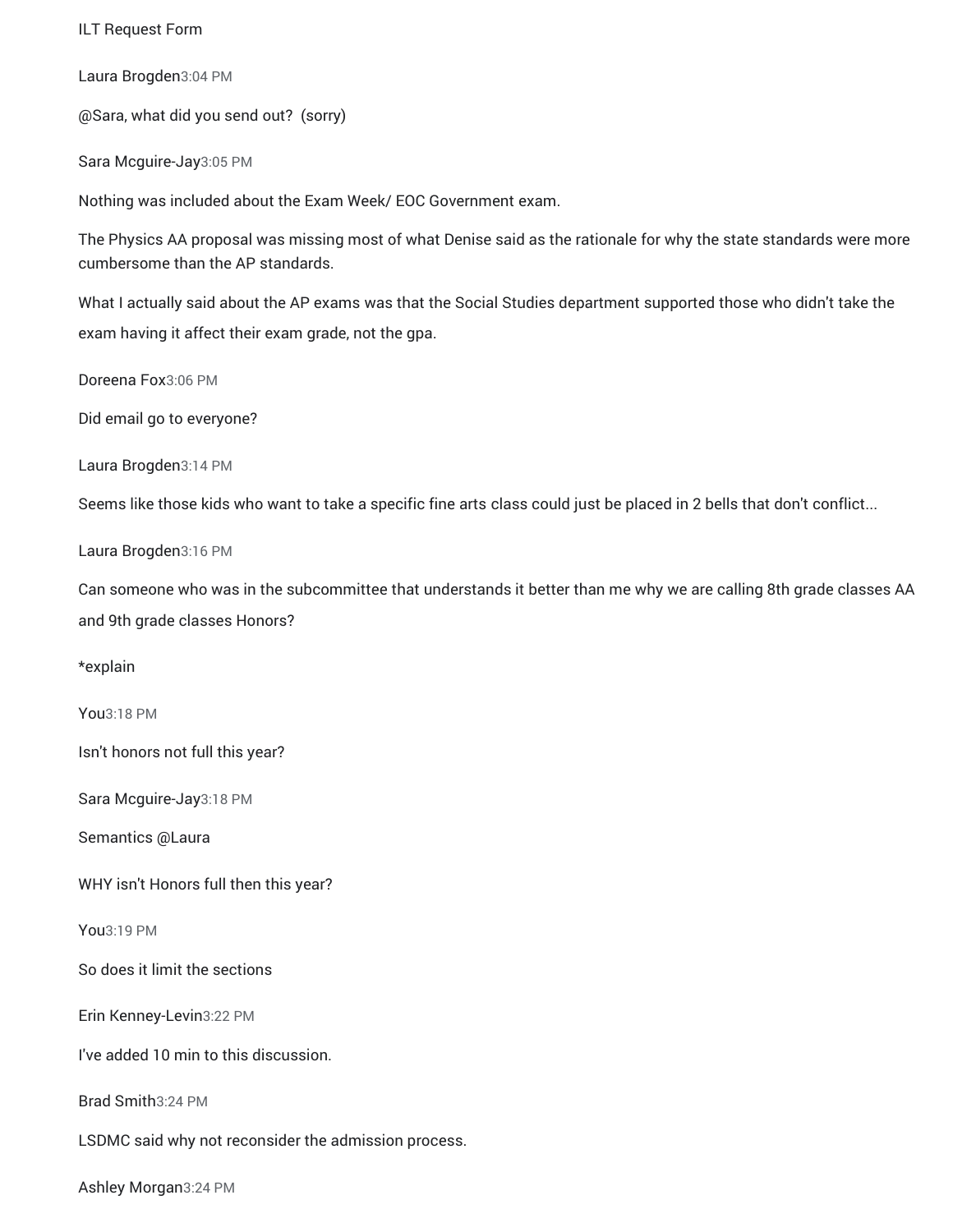ILT Request Form

Laura Brogden3:04 PM

@Sara, what did you send out? (sorry)

Sara Mcguire-Jay3:05 PM

Nothing was included about the Exam Week/ EOC Government exam.

The Physics AA proposal was missing most of what Denise said as the rationale for why the state standards were more cumbersome than the AP standards.

What I actually said about the AP exams was that the Social Studies department supported those who didn't take the exam having it affect their exam grade, not the gpa.

Doreena Fox3:06 PM

Did email go to everyone?

Laura Brogden3:14 PM

Seems like those kids who want to take a specific fine arts class could just be placed in 2 bells that don't conflict...

Laura Brogden3:16 PM

Can someone who was in the subcommittee that understands it better than me why we are calling 8th grade classes AA and 9th grade classes Honors?

\*explain

You3:18 PM

Isn't honors not full this year?

Sara Mcguire-Jay3:18 PM

Semantics @Laura

WHY isn't Honors full then this year?

You3:19 PM

So does it limit the sections

Erin Kenney-Levin3:22 PM

I've added 10 min to this discussion.

Brad Smith3:24 PM

LSDMC said why not reconsider the admission process.

Ashley Morgan3:24 PM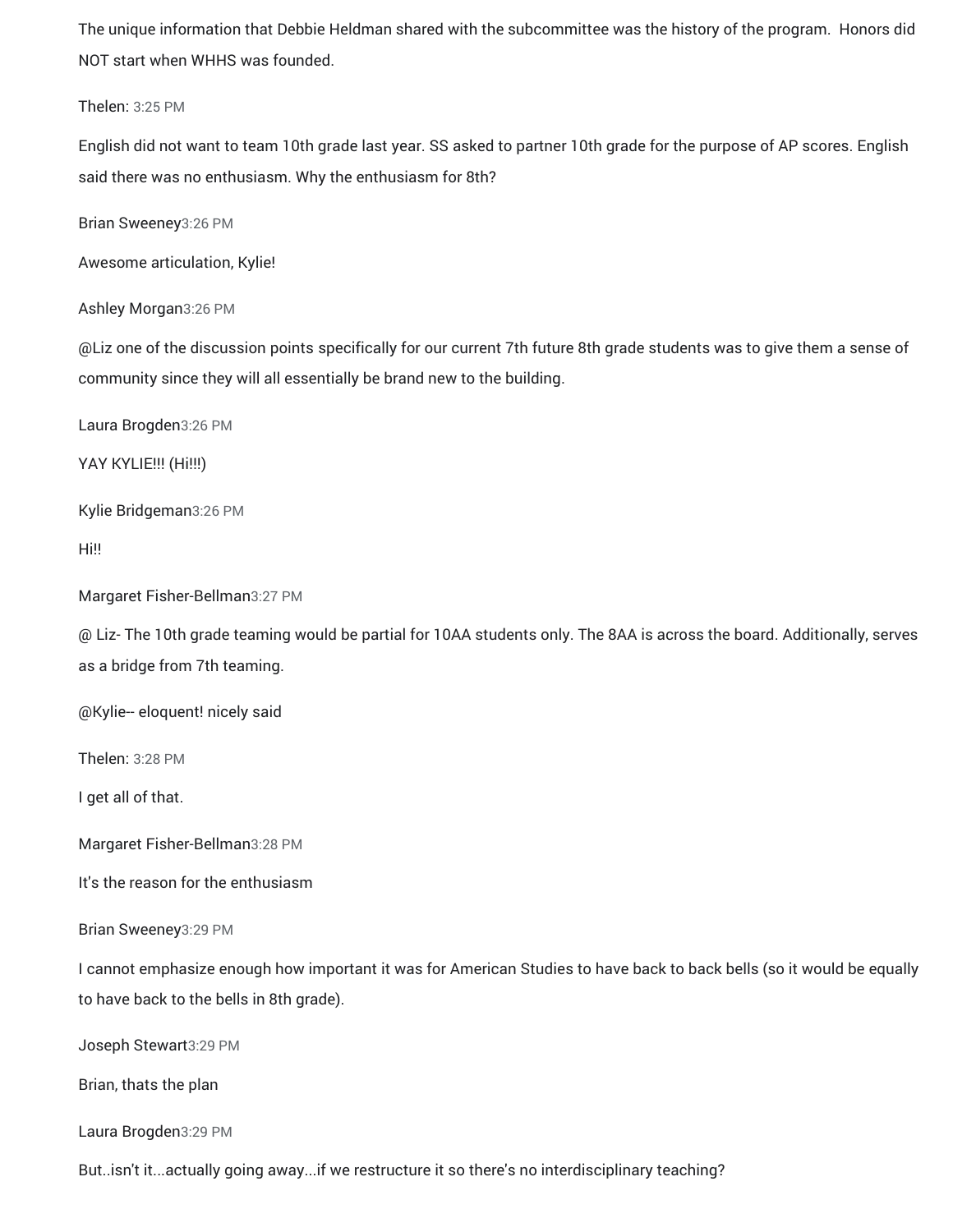The unique information that Debbie Heldman shared with the subcommittee was the history of the program. Honors did NOT start when WHHS was founded.

Thelen: 3:25 PM

English did not want to team 10th grade last year. SS asked to partner 10th grade for the purpose of AP scores. English said there was no enthusiasm. Why the enthusiasm for 8th?

Brian Sweeney3:26 PM

Awesome articulation, Kylie!

Ashley Morgan3:26 PM

@Liz one of the discussion points specifically for our current 7th future 8th grade students was to give them a sense of community since they will all essentially be brand new to the building.

Laura Brogden3:26 PM

YAY KYLIE!!! (Hi!!!)

Kylie Bridgeman3:26 PM

Hi!!

Margaret Fisher-Bellman3:27 PM

@ Liz- The 10th grade teaming would be partial for 10AA students only. The 8AA is across the board. Additionally, serves as a bridge from 7th teaming.

@Kylie-- eloquent! nicely said

Thelen: 3:28 PM

I get all of that.

Margaret Fisher-Bellman3:28 PM

It's the reason for the enthusiasm

Brian Sweeney3:29 PM

I cannot emphasize enough how important it was for American Studies to have back to back bells (so it would be equally to have back to the bells in 8th grade).

Joseph Stewart3:29 PM

Brian, thats the plan

Laura Brogden3:29 PM

But..isn't it...actually going away...if we restructure it so there's no interdisciplinary teaching?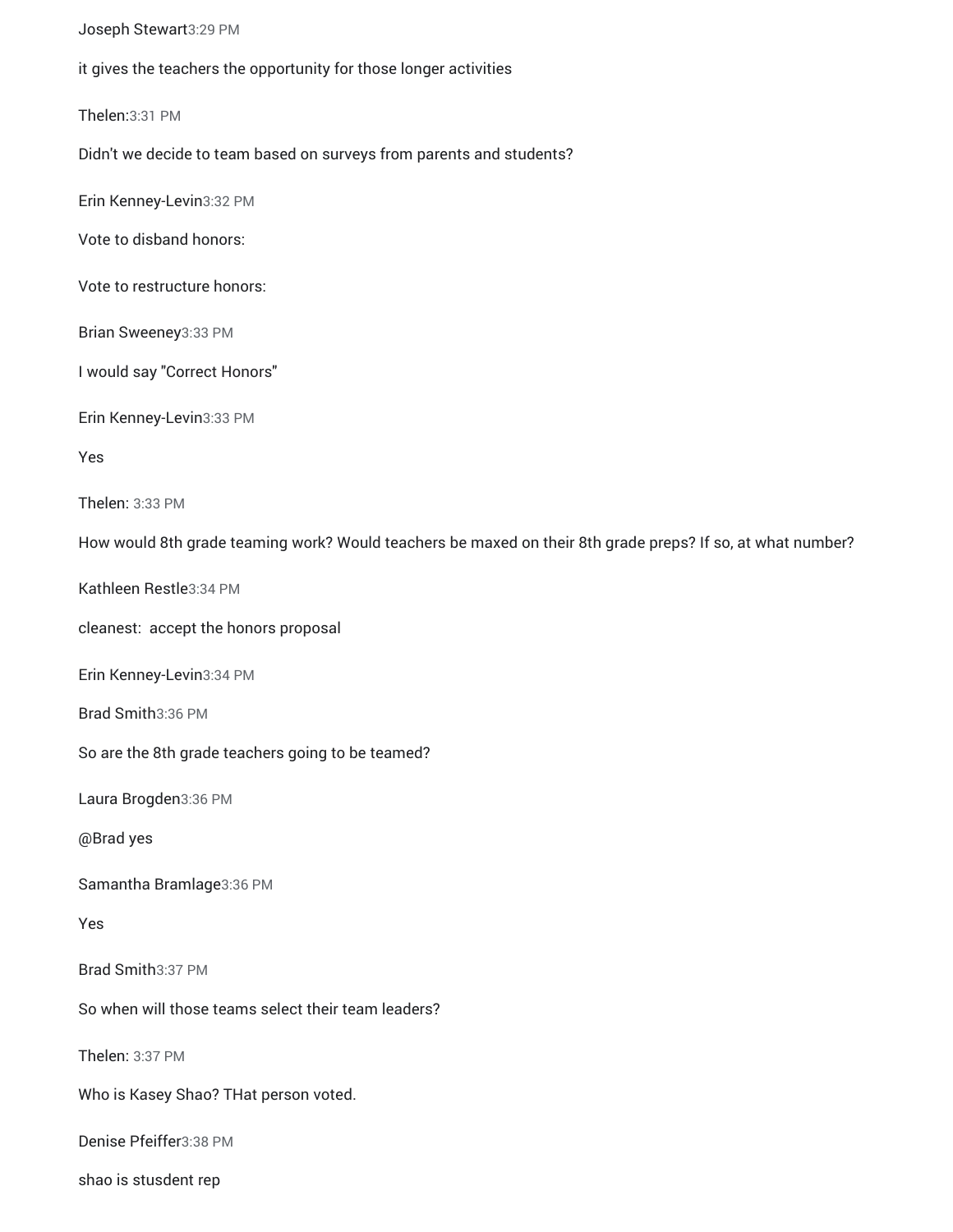Joseph Stewart3:29 PM

it gives the teachers the opportunity for those longer activities

Thelen:3:31 PM

Didn't we decide to team based on surveys from parents and students?

Erin Kenney-Levin3:32 PM

Vote to disband honors:

Vote to restructure honors:

Brian Sweeney3:33 PM

I would say "Correct Honors"

Erin Kenney-Levin3:33 PM

Yes

Thelen: 3:33 PM

How would 8th grade teaming work? Would teachers be maxed on their 8th grade preps? If so, at what number?

Kathleen Restle3:34 PM

cleanest: accept the honors proposal

Erin Kenney-Levin3:34 PM

Brad Smith3:36 PM

So are the 8th grade teachers going to be teamed?

Laura Brogden3:36 PM

@Brad yes

Samantha Bramlage3:36 PM

Yes

Brad Smith3:37 PM

So when will those teams select their team leaders?

Thelen: 3:37 PM

Who is Kasey Shao? THat person voted.

Denise Pfeiffer3:38 PM

shao is stusdent rep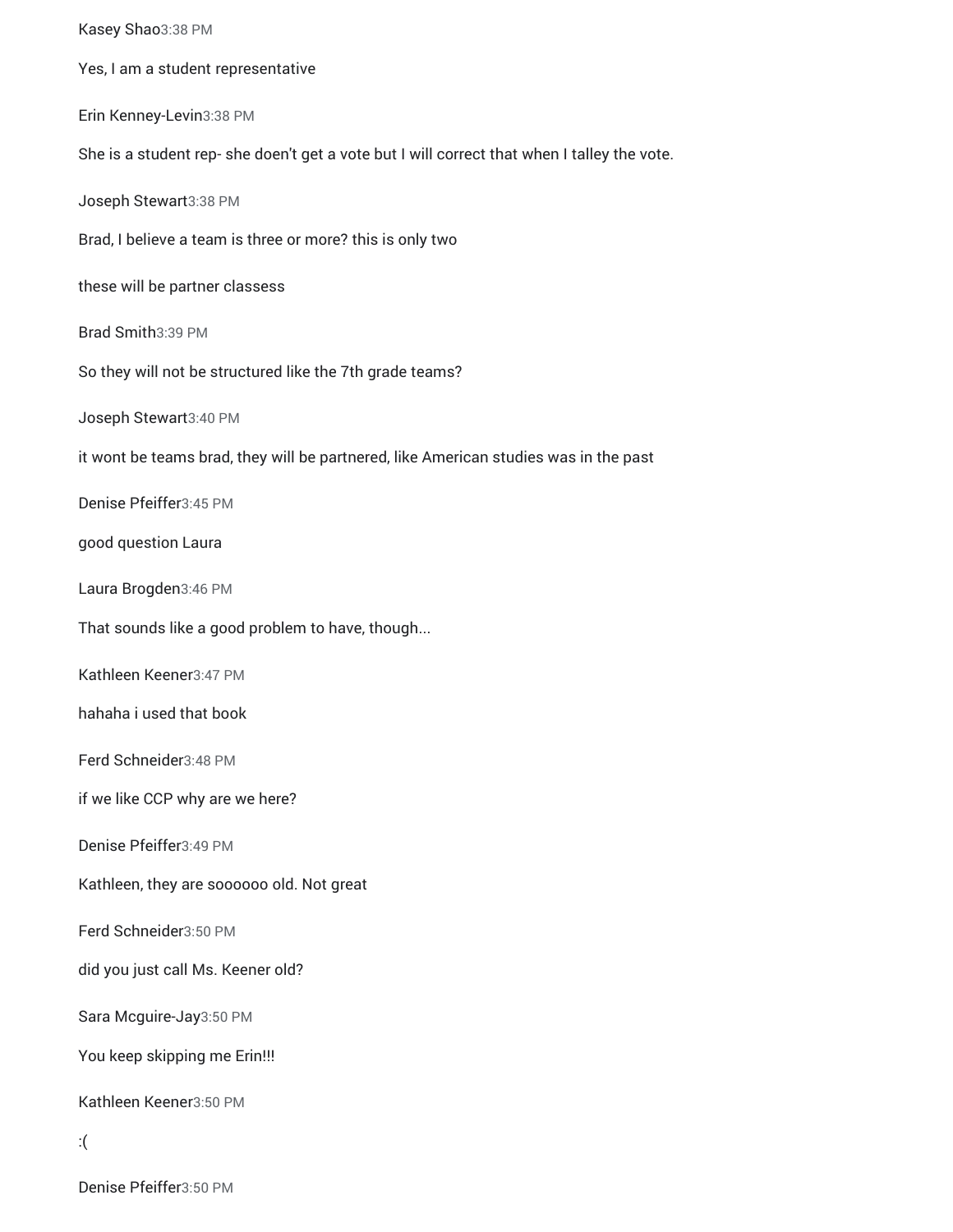Kasey Shao3:38 PM Yes, I am a student representative Erin Kenney-Levin3:38 PM She is a student rep- she doen't get a vote but I will correct that when I talley the vote. Joseph Stewart3:38 PM Brad, I believe a team is three or more? this is only two these will be partner classess Brad Smith3:39 PM So they will not be structured like the 7th grade teams? Joseph Stewart3:40 PM it wont be teams brad, they will be partnered, like American studies was in the past Denise Pfeiffer3:45 PM good question Laura Laura Brogden3:46 PM That sounds like a good problem to have, though... Kathleen Keener3:47 PM hahaha i used that book Ferd Schneider3:48 PM if we like CCP why are we here? Denise Pfeiffer3:49 PM Kathleen, they are soooooo old. Not great Ferd Schneider3:50 PM did you just call Ms. Keener old? Sara Mcguire-Jay3:50 PM You keep skipping me Erin!!! Kathleen Keener3:50 PM :(

Denise Pfeiffer3:50 PM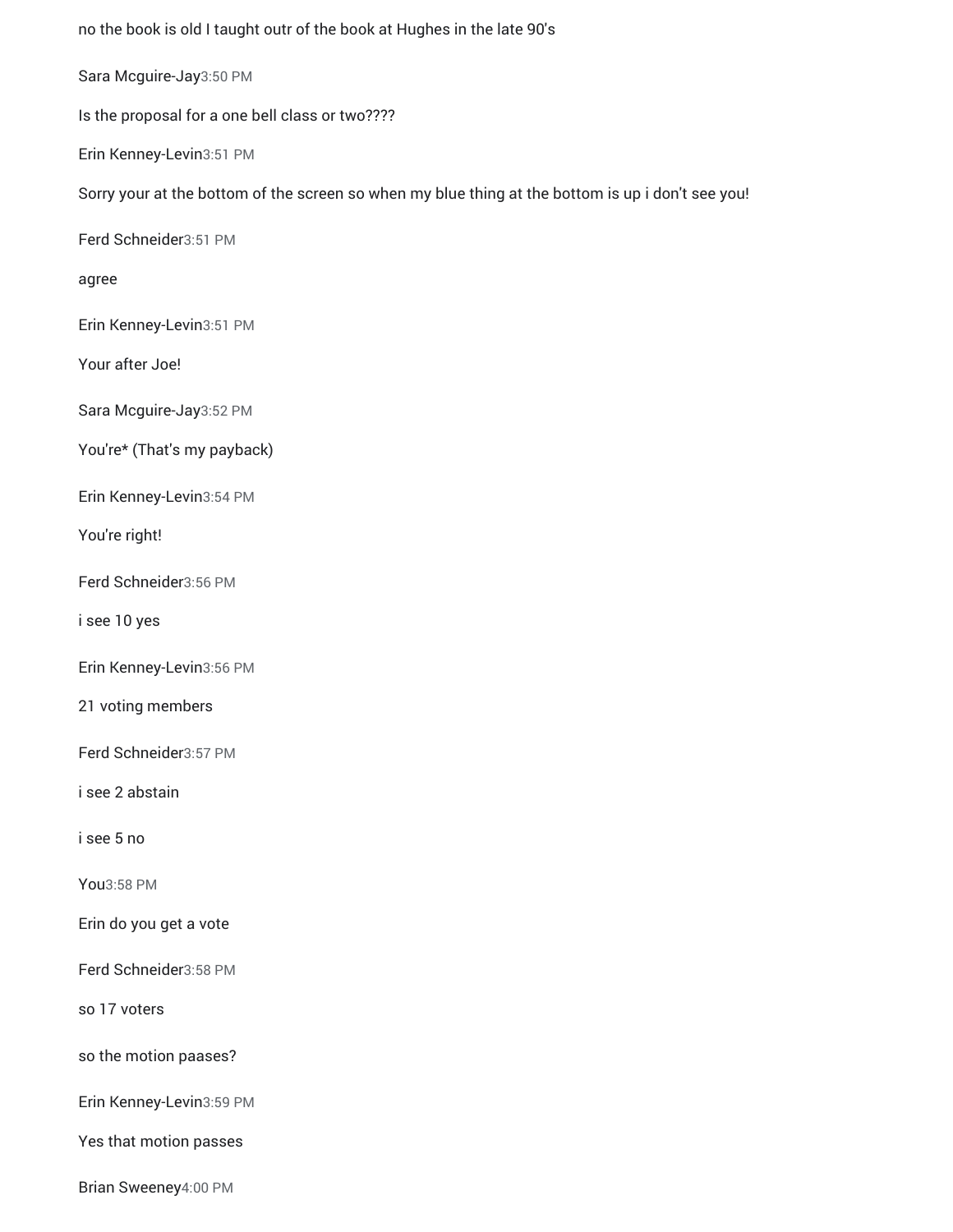no the book is old I taught outr of the book at Hughes in the late 90's Sara Mcguire-Jay3:50 PM Is the proposal for a one bell class or two???? Erin Kenney-Levin3:51 PM Sorry your at the bottom of the screen so when my blue thing at the bottom is up i don't see you! Ferd Schneider3:51 PM agree Erin Kenney-Levin3:51 PM Your after Joe! Sara Mcguire-Jay3:52 PM You're\* (That's my payback) Erin Kenney-Levin3:54 PM You're right! Ferd Schneider3:56 PM i see 10 yes Erin Kenney-Levin3:56 PM 21 voting members Ferd Schneider3:57 PM i see 2 abstain i see 5 no You3:58 PM Erin do you get a vote Ferd Schneider3:58 PM so 17 voters so the motion paases? Erin Kenney-Levin3:59 PM Yes that motion passes

Brian Sweeney4:00 PM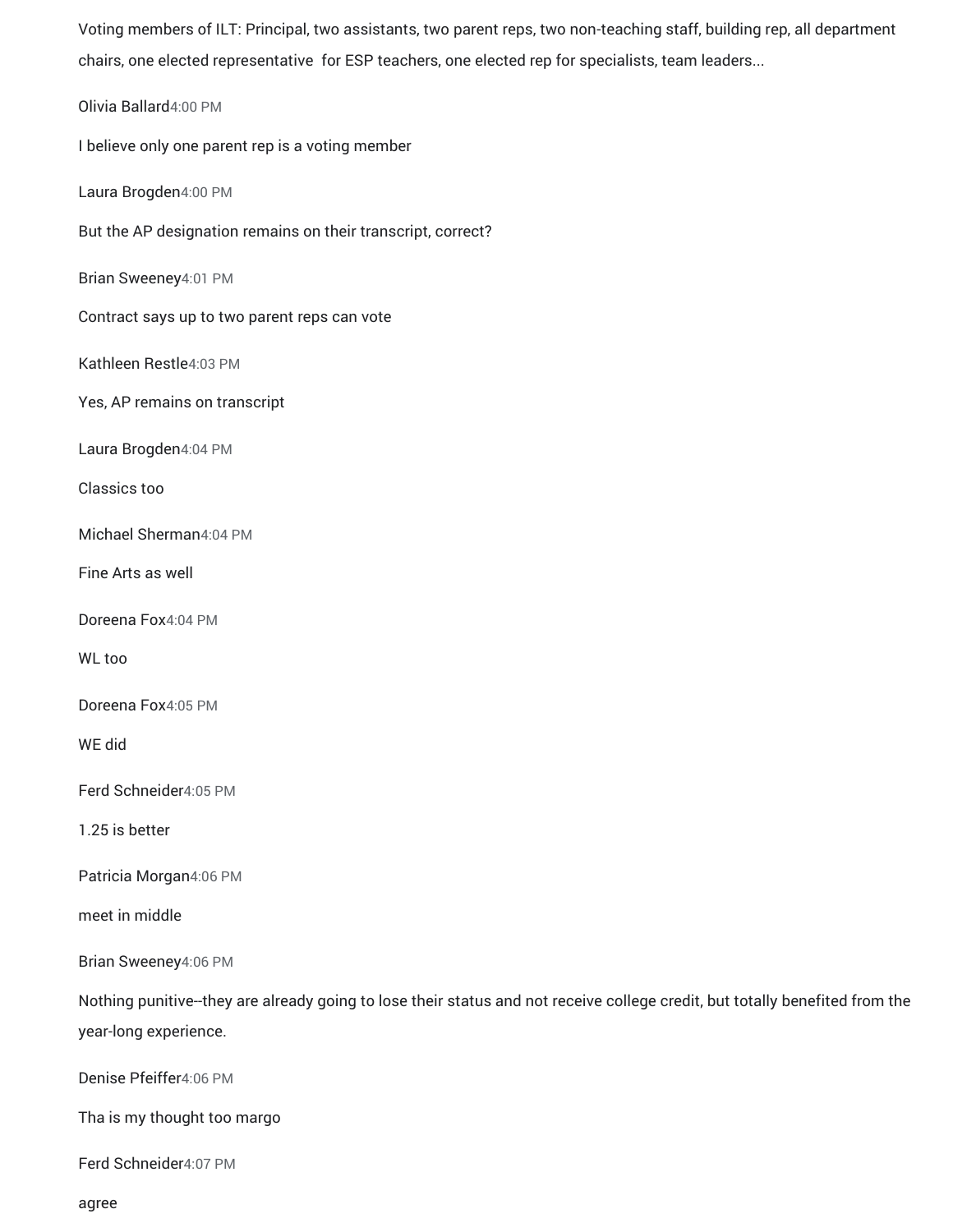Voting members of ILT: Principal, two assistants, two parent reps, two non-teaching staff, building rep, all department chairs, one elected representative for ESP teachers, one elected rep for specialists, team leaders...

Olivia Ballard4:00 PM I believe only one parent rep is a voting member Laura Brogden4:00 PM But the AP designation remains on their transcript, correct? Brian Sweeney4:01 PM Contract says up to two parent reps can vote Kathleen Restle4:03 PM Yes, AP remains on transcript Laura Brogden4:04 PM Classics too Michael Sherman4:04 PM Fine Arts as well Doreena Fox4:04 PM WL too Doreena Fox4:05 PM WE did Ferd Schneider4:05 PM 1.25 is better Patricia Morgan4:06 PM meet in middle Brian Sweeney4:06 PM Nothing punitive--they are already going to lose their status and not receive college credit, but totally benefited from the year-long experience. Denise Pfeiffer4:06 PM Tha is my thought too margo Ferd Schneider4:07 PM

agree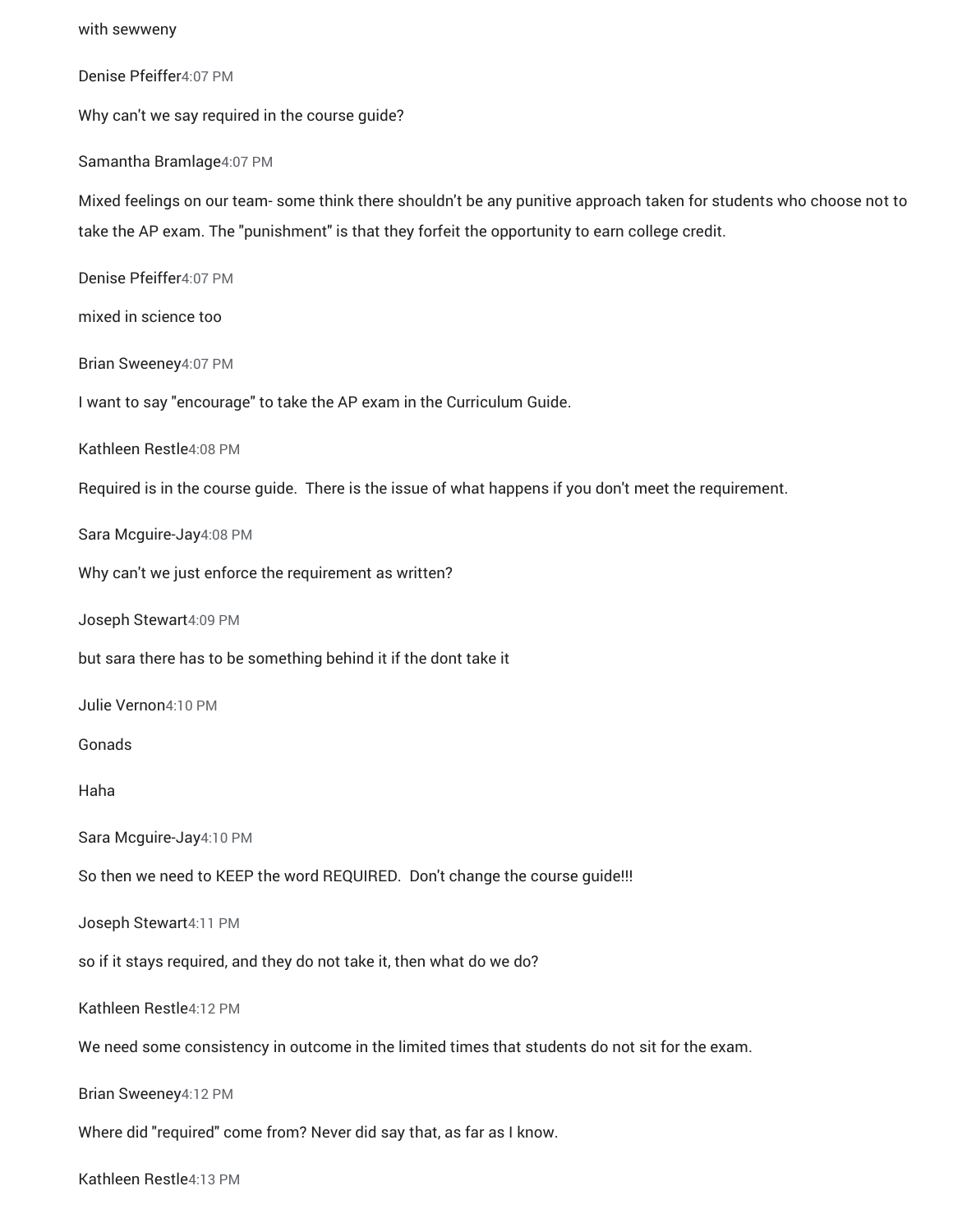| with sewweny                                                                                                                                                                                                            |
|-------------------------------------------------------------------------------------------------------------------------------------------------------------------------------------------------------------------------|
| Denise Pfeiffer4:07 PM                                                                                                                                                                                                  |
| Why can't we say required in the course guide?                                                                                                                                                                          |
| Samantha Bramlage4:07 PM                                                                                                                                                                                                |
| Mixed feelings on our team- some think there shouldn't be any punitive approach taken for students who choose not to<br>take the AP exam. The "punishment" is that they forfeit the opportunity to earn college credit. |
| Denise Pfeiffer4:07 PM                                                                                                                                                                                                  |
| mixed in science too                                                                                                                                                                                                    |
| Brian Sweeney4:07 PM                                                                                                                                                                                                    |
| I want to say "encourage" to take the AP exam in the Curriculum Guide.                                                                                                                                                  |
| Kathleen Restle4:08 PM                                                                                                                                                                                                  |
| Required is in the course guide. There is the issue of what happens if you don't meet the requirement.                                                                                                                  |
| Sara Mcguire-Jay4:08 PM                                                                                                                                                                                                 |
| Why can't we just enforce the requirement as written?                                                                                                                                                                   |
| Joseph Stewart4:09 PM                                                                                                                                                                                                   |
| but sara there has to be something behind it if the dont take it                                                                                                                                                        |
| Julie Vernon4:10 PM                                                                                                                                                                                                     |
| Gonads                                                                                                                                                                                                                  |
| Haha                                                                                                                                                                                                                    |
| Sara Mcguire-Jay4:10 PM                                                                                                                                                                                                 |
| So then we need to KEEP the word REQUIRED. Don't change the course guide!!!                                                                                                                                             |
| Joseph Stewart4:11 PM                                                                                                                                                                                                   |
| so if it stays required, and they do not take it, then what do we do?                                                                                                                                                   |
| Kathleen Restle4:12 PM                                                                                                                                                                                                  |
| We need some consistency in outcome in the limited times that students do not sit for the exam.                                                                                                                         |
| Brian Sweeney4:12 PM                                                                                                                                                                                                    |
| Where did "required" come from? Never did say that, as far as I know.                                                                                                                                                   |
| Kathleen Restle4:13 PM                                                                                                                                                                                                  |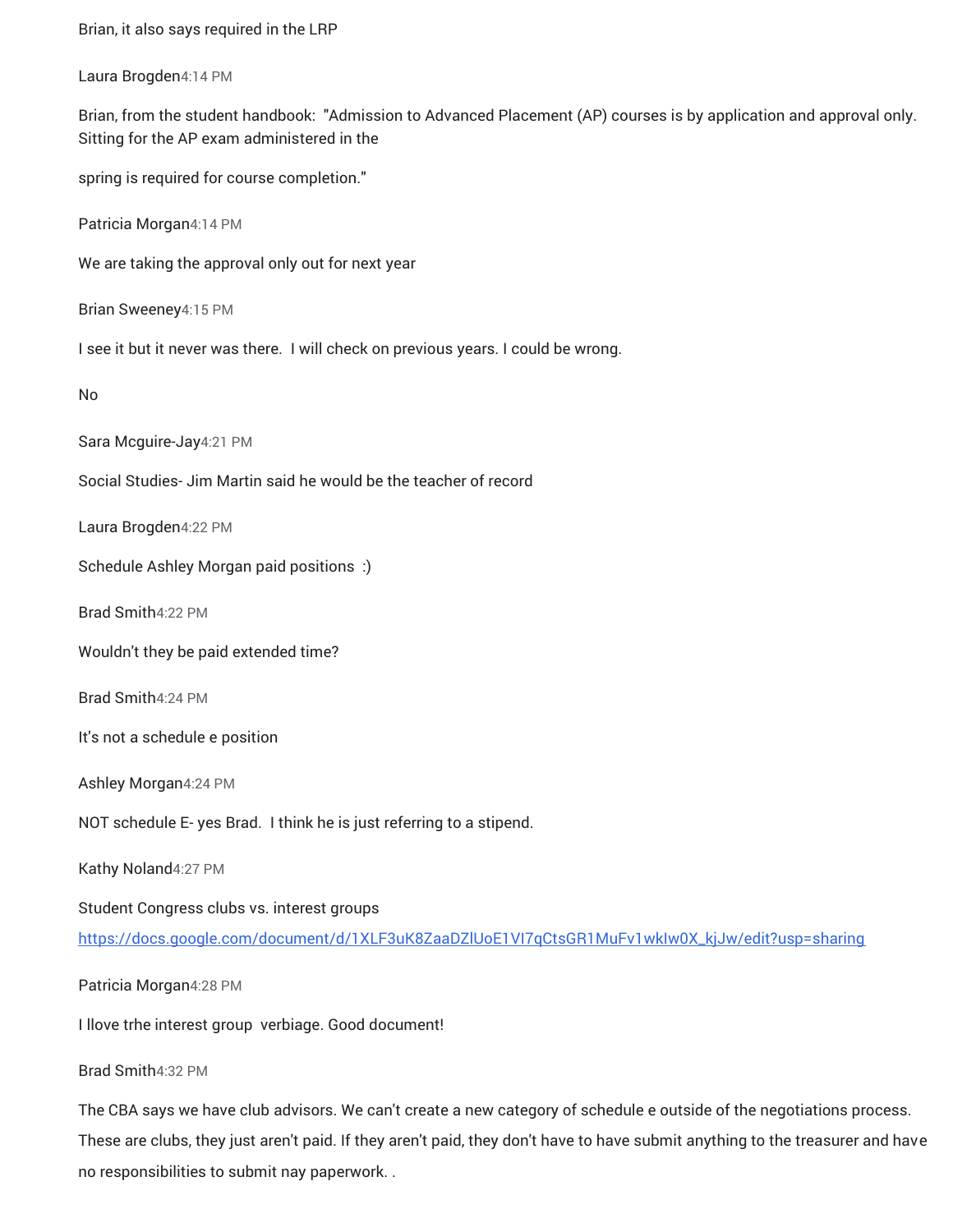Brian, it also says required in the LRP Laura Brogden4:14 PM Brian, from the student handbook: "Admission to Advanced Placement (AP) courses is by application and approval only. Sitting for the AP exam administered in the spring is required for course completion." Patricia Morgan4:14 PM We are taking the approval only out for next year Brian Sweeney4:15 PM I see it but it never was there. I will check on previous years. I could be wrong. No Sara Mcguire-Jay4:21 PM Social Studies- Jim Martin said he would be the teacher of record Laura Brogden4:22 PM Schedule Ashley Morgan paid positions :) Brad Smith4:22 PM Wouldn't they be paid extended time? Brad Smith4:24 PM It's not a schedule e position Ashley Morgan4:24 PM NOT schedule E- yes Brad. I think he is just referring to a stipend. Kathy Noland4:27 PM Student Congress clubs vs. interest group[s](https://meet.google.com/linkredirect?authuser=0&dest=https%3A%2F%2Fdocs.google.com%2Fdocument%2Fd%2F1XLF3uK8ZaaDZlUoE1VI7qCtsGR1MuFv1wkIw0X_kjJw%2Fedit%3Fusp%3Dsharing) [https://docs.google.com/document/d/1XLF3uK8ZaaDZlUoE1VI7qCtsGR1MuFv1wkIw0X\\_kjJw/edit?usp=sharing](https://meet.google.com/linkredirect?authuser=0&dest=https%3A%2F%2Fdocs.google.com%2Fdocument%2Fd%2F1XLF3uK8ZaaDZlUoE1VI7qCtsGR1MuFv1wkIw0X_kjJw%2Fedit%3Fusp%3Dsharing) Patricia Morgan4:28 PM I llove trhe interest group verbiage. Good document! Brad Smith4:32 PM The CBA says we have club advisors. We can't create a new category of schedule e outside of the negotiations process.

These are clubs, they just aren't paid. If they aren't paid, they don't have to have submit anything to the treasurer and have

no responsibilities to submit nay paperwork. .